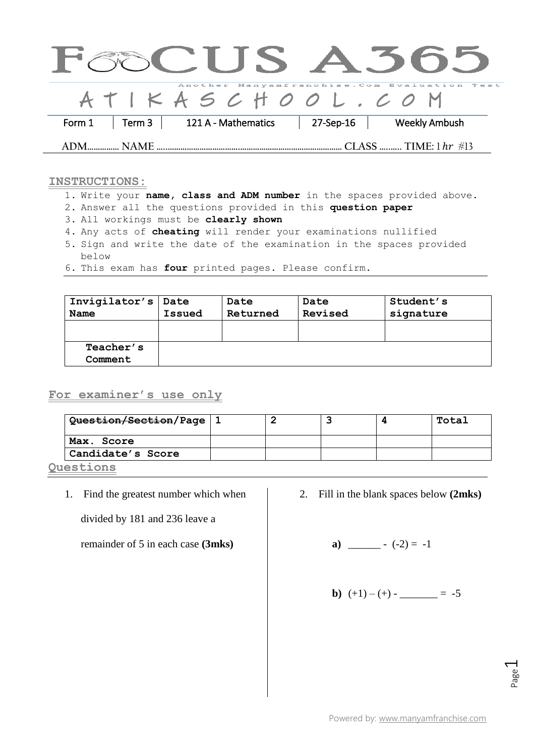|        |             | CUS A505            |           |                                              |
|--------|-------------|---------------------|-----------|----------------------------------------------|
|        |             | ATIKASCHOOL.CO M    |           | Another Manyamfranchise. Com Evaluation Test |
| Form 1 | Term 3      | 121 A - Mathematics | 27-Sep-16 | <b>Weekly Ambush</b>                         |
|        | <b>NAMF</b> |                     |           |                                              |

## **INSTRUCTIONS:**

- 1. Write your **name, class and ADM number** in the spaces provided above.
- 2. Answer all the questions provided in this **question paper**
- 3. All workings must be **clearly shown**
- 4. Any acts of **cheating** will render your examinations nullified
- 5. Sign and write the date of the examination in the spaces provided below
- 6. This exam has **four** printed pages. Please confirm.

| Invigilator's   Date | Issued | Date     | Date    | Student's |
|----------------------|--------|----------|---------|-----------|
| Name                 |        | Returned | Revised | signature |
| Teacher's<br>Comment |        |          |         |           |

## **For examiner's use only**

| Question/Section/Page   1 |  |  | Total |
|---------------------------|--|--|-------|
| Max. Score                |  |  |       |
| Candidate's Score         |  |  |       |
|                           |  |  |       |

**Questions** 

1. Find the greatest number which when

divided by 181 and 236 leave a

remainder of 5 in each case **(3mks)**

2. Fill in the blank spaces below **(2mks)**

**a)** \_\_\_\_\_\_ - (-2) = -1

**b)** 
$$
(+1)-(+)-
$$
 \_\_\_\_\_\_ = -5

Page  $\overline{\phantom{0}}$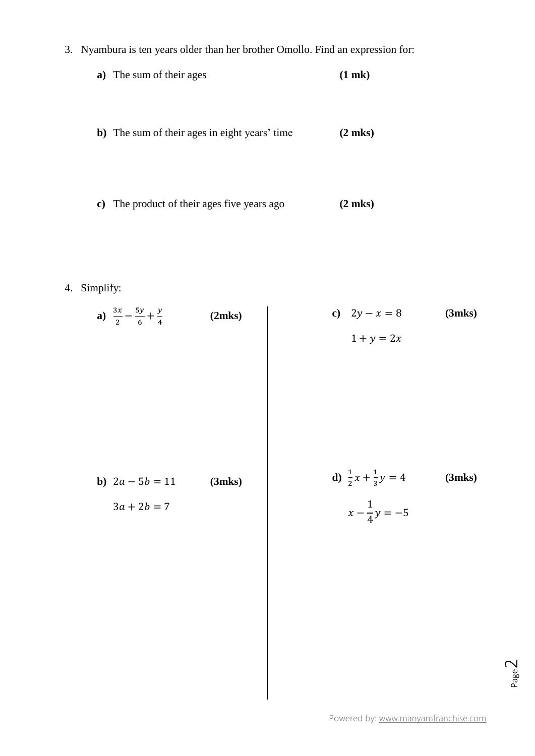3. Nyambura is ten years older than her brother Omollo. Find an expression for:

$$
a) The sum of their ages \t\t(1 m k)
$$

- **b)** The sum of their ages in eight years' time **(2 mks)**
- **c)** The product of their ages five years ago **(2 mks)**
- 4. Simplify:

| $\frac{3x}{2} - \frac{5y}{6} + \frac{y}{4}$<br>a) | (2mks) | c) $2y - x = 8$                      | (3mks)       |
|---------------------------------------------------|--------|--------------------------------------|--------------|
|                                                   |        | $1 + y = 2x$                         |              |
|                                                   |        |                                      |              |
|                                                   |        |                                      |              |
|                                                   |        |                                      |              |
|                                                   |        |                                      |              |
|                                                   |        |                                      |              |
|                                                   |        |                                      |              |
| <b>b</b> ) $2a - 5b = 11$                         | (3mks) | d) $\frac{1}{2}x + \frac{1}{3}y = 4$ | $(3$ mks $)$ |
| $3a + 2b = 7$                                     |        | $x - \frac{1}{4}y = -5$              |              |
|                                                   |        |                                      |              |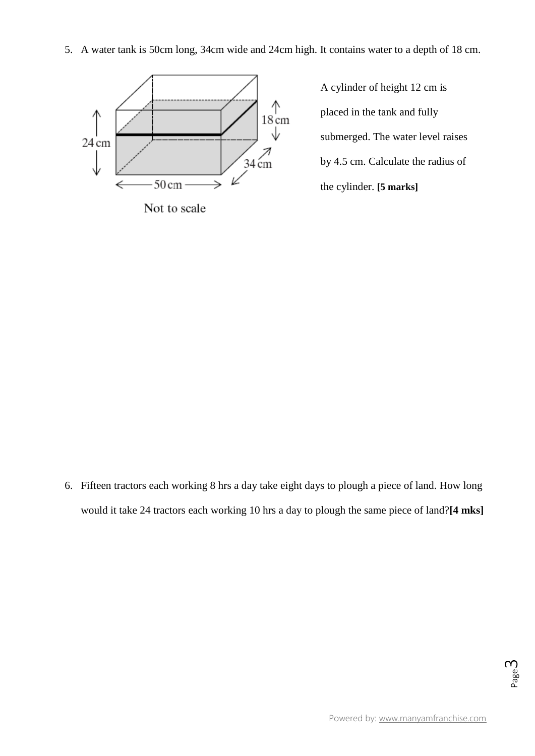5. A water tank is 50cm long, 34cm wide and 24cm high. It contains water to a depth of 18 cm.



Not to scale

A cylinder of height 12 cm is placed in the tank and fully submerged. The water level raises by 4.5 cm. Calculate the radius of the cylinder. **[5 marks]**

6. Fifteen tractors each working 8 hrs a day take eight days to plough a piece of land. How long would it take 24 tractors each working 10 hrs a day to plough the same piece of land?**[4 mks]**

Page ന